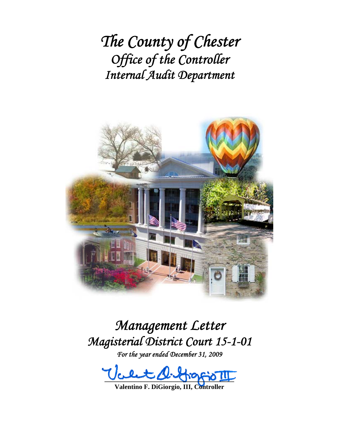*The County of Chester Office of the Controller Internal Audit Department*



# *Management Letter Magisterial District Court 15-1-01*

*For the year ended December 31, 2009* 

 $\log$ 

**Valentino F. DiGiorgio, III, Controller**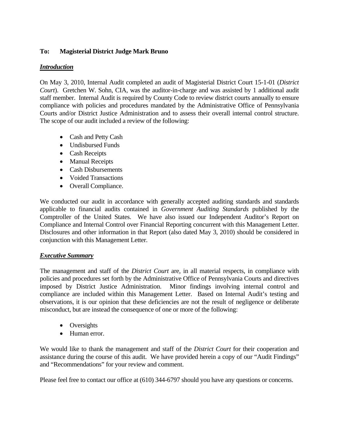# **To: Magisterial District Judge Mark Bruno**

## *Introduction*

On May 3, 2010, Internal Audit completed an audit of Magisterial District Court 15-1-01 (*District Court*). Gretchen W. Sohn, CIA, was the auditor-in-charge and was assisted by 1 additional audit staff member. Internal Audit is required by County Code to review district courts annually to ensure compliance with policies and procedures mandated by the Administrative Office of Pennsylvania Courts and/or District Justice Administration and to assess their overall internal control structure. The scope of our audit included a review of the following:

- Cash and Petty Cash
- Undisbursed Funds
- Cash Receipts
- Manual Receipts
- Cash Disbursements
- Voided Transactions
- Overall Compliance.

We conducted our audit in accordance with generally accepted auditing standards and standards applicable to financial audits contained in *Government Auditing Standards* published by the Comptroller of the United States. We have also issued our Independent Auditor's Report on Compliance and Internal Control over Financial Reporting concurrent with this Management Letter. Disclosures and other information in that Report (also dated May 3, 2010) should be considered in conjunction with this Management Letter.

## *Executive Summary*

The management and staff of the *District Court* are, in all material respects, in compliance with policies and procedures set forth by the Administrative Office of Pennsylvania Courts and directives imposed by District Justice Administration. Minor findings involving internal control and compliance are included within this Management Letter. Based on Internal Audit's testing and observations, it is our opinion that these deficiencies are not the result of negligence or deliberate misconduct, but are instead the consequence of one or more of the following:

- Oversights
- Human error.

We would like to thank the management and staff of the *District Court* for their cooperation and assistance during the course of this audit. We have provided herein a copy of our "Audit Findings" and "Recommendations" for your review and comment.

Please feel free to contact our office at (610) 344-6797 should you have any questions or concerns.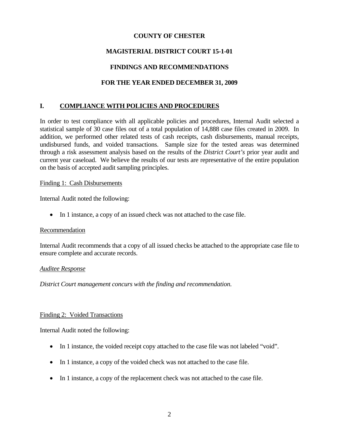## **COUNTY OF CHESTER**

# **MAGISTERIAL DISTRICT COURT 15-1-01**

# **FINDINGS AND RECOMMENDATIONS**

# **FOR THE YEAR ENDED DECEMBER 31, 2009**

# **I. COMPLIANCE WITH POLICIES AND PROCEDURES**

In order to test compliance with all applicable policies and procedures, Internal Audit selected a statistical sample of 30 case files out of a total population of 14,888 case files created in 2009. In addition, we performed other related tests of cash receipts, cash disbursements, manual receipts, undisbursed funds, and voided transactions. Sample size for the tested areas was determined through a risk assessment analysis based on the results of the *District Court's* prior year audit and current year caseload. We believe the results of our tests are representative of the entire population on the basis of accepted audit sampling principles.

#### Finding 1: Cash Disbursements

Internal Audit noted the following:

• In 1 instance, a copy of an issued check was not attached to the case file.

## Recommendation

Internal Audit recommends that a copy of all issued checks be attached to the appropriate case file to ensure complete and accurate records.

#### *Auditee Response*

*District Court management concurs with the finding and recommendation.* 

## Finding 2: Voided Transactions

Internal Audit noted the following:

- In 1 instance, the voided receipt copy attached to the case file was not labeled "void".
- In 1 instance, a copy of the voided check was not attached to the case file.
- In 1 instance, a copy of the replacement check was not attached to the case file.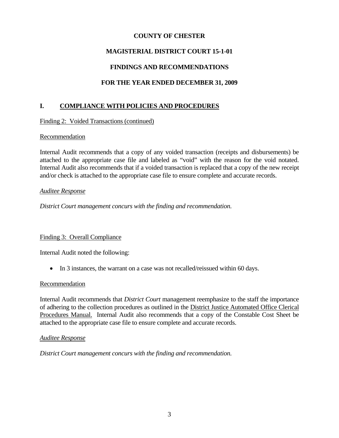# **COUNTY OF CHESTER**

# **MAGISTERIAL DISTRICT COURT 15-1-01**

# **FINDINGS AND RECOMMENDATIONS**

# **FOR THE YEAR ENDED DECEMBER 31, 2009**

# **I. COMPLIANCE WITH POLICIES AND PROCEDURES**

Finding 2: Voided Transactions (continued)

## **Recommendation**

Internal Audit recommends that a copy of any voided transaction (receipts and disbursements) be attached to the appropriate case file and labeled as "void" with the reason for the void notated. Internal Audit also recommends that if a voided transaction is replaced that a copy of the new receipt and/or check is attached to the appropriate case file to ensure complete and accurate records.

## *Auditee Response*

*District Court management concurs with the finding and recommendation.* 

# Finding 3: Overall Compliance

Internal Audit noted the following:

• In 3 instances, the warrant on a case was not recalled/reissued within 60 days.

## Recommendation

Internal Audit recommends that *District Court* management reemphasize to the staff the importance of adhering to the collection procedures as outlined in the District Justice Automated Office Clerical Procedures Manual. Internal Audit also recommends that a copy of the Constable Cost Sheet be attached to the appropriate case file to ensure complete and accurate records.

## *Auditee Response*

*District Court management concurs with the finding and recommendation.*